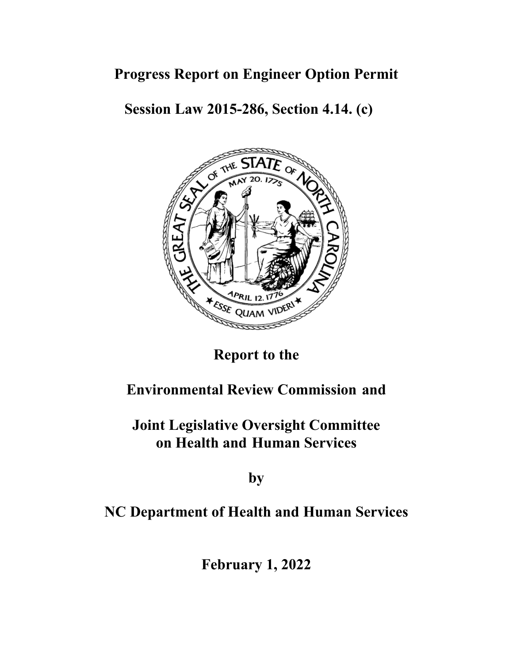### **Progress Report on Engineer Option Permit**

**Session Law 2015-286, Section 4.14. (c)** 



# **Report to the**

### **Environmental Review Commission and**

# **Joint Legislative Oversight Committee on Health and Human Services**

**by**

## **NC Department of Health and Human Services**

**February 1, 2022**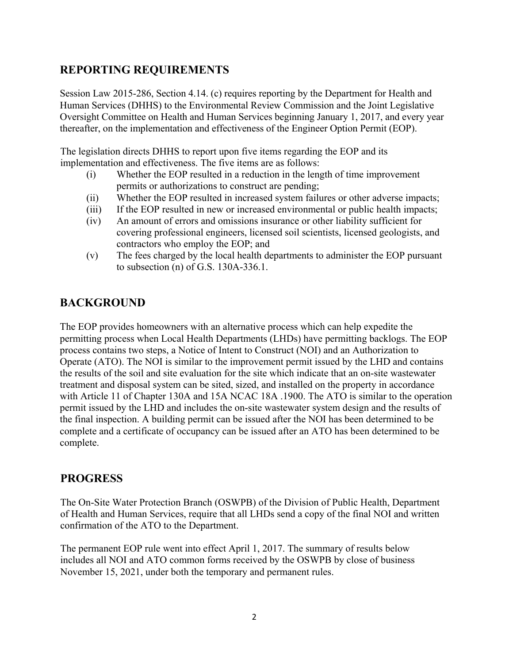### **REPORTING REQUIREMENTS**

Session Law 2015-286, Section 4.14. (c) requires reporting by the Department for Health and Human Services (DHHS) to the Environmental Review Commission and the Joint Legislative Oversight Committee on Health and Human Services beginning January 1, 2017, and every year thereafter, on the implementation and effectiveness of the Engineer Option Permit (EOP).

The legislation directs DHHS to report upon five items regarding the EOP and its implementation and effectiveness. The five items are as follows:

- (i) Whether the EOP resulted in a reduction in the length of time improvement permits or authorizations to construct are pending;
- (ii) Whether the EOP resulted in increased system failures or other adverse impacts;
- (iii) If the EOP resulted in new or increased environmental or public health impacts;
- (iv) An amount of errors and omissions insurance or other liability sufficient for covering professional engineers, licensed soil scientists, licensed geologists, and contractors who employ the EOP; and
- (v) The fees charged by the local health departments to administer the EOP pursuant to subsection (n) of G.S. 130A-336.1.

### **BACKGROUND**

The EOP provides homeowners with an alternative process which can help expedite the permitting process when Local Health Departments (LHDs) have permitting backlogs. The EOP process contains two steps, a Notice of Intent to Construct (NOI) and an Authorization to Operate (ATO). The NOI is similar to the improvement permit issued by the LHD and contains the results of the soil and site evaluation for the site which indicate that an on-site wastewater treatment and disposal system can be sited, sized, and installed on the property in accordance with Article 11 of Chapter 130A and 15A NCAC 18A .1900. The ATO is similar to the operation permit issued by the LHD and includes the on-site wastewater system design and the results of the final inspection. A building permit can be issued after the NOI has been determined to be complete and a certificate of occupancy can be issued after an ATO has been determined to be complete.

### **PROGRESS**

The On-Site Water Protection Branch (OSWPB) of the Division of Public Health, Department of Health and Human Services, require that all LHDs send a copy of the final NOI and written confirmation of the ATO to the Department.

The permanent EOP rule went into effect April 1, 2017. The summary of results below includes all NOI and ATO common forms received by the OSWPB by close of business November 15, 2021, under both the temporary and permanent rules.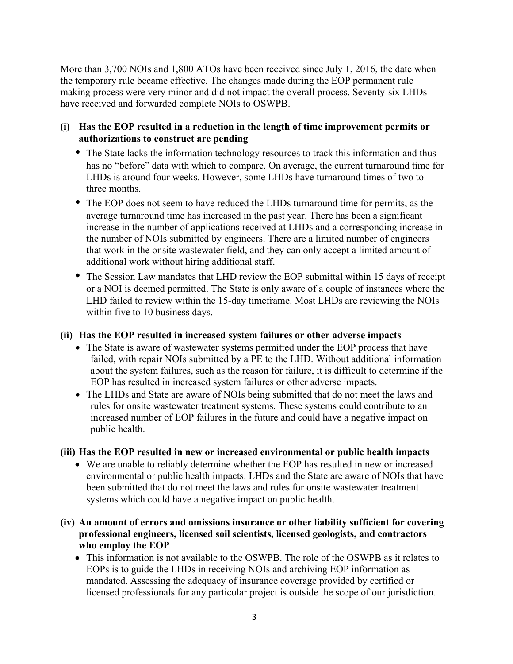More than 3,700 NOIs and 1,800 ATOs have been received since July 1, 2016, the date when the temporary rule became effective. The changes made during the EOP permanent rule making process were very minor and did not impact the overall process. Seventy-six LHDs have received and forwarded complete NOIs to OSWPB.

#### **(i) Has the EOP resulted in a reduction in the length of time improvement permits or authorizations to construct are pending**

- The State lacks the information technology resources to track this information and thus has no "before" data with which to compare. On average, the current turnaround time for LHDs is around four weeks. However, some LHDs have turnaround times of two to three months.
- The EOP does not seem to have reduced the LHDs turnaround time for permits, as the average turnaround time has increased in the past year. There has been a significant increase in the number of applications received at LHDs and a corresponding increase in the number of NOIs submitted by engineers. There are a limited number of engineers that work in the onsite wastewater field, and they can only accept a limited amount of additional work without hiring additional staff.
- The Session Law mandates that LHD review the EOP submittal within 15 days of receipt or a NOI is deemed permitted. The State is only aware of a couple of instances where the LHD failed to review within the 15-day timeframe. Most LHDs are reviewing the NOIs within five to 10 business days.

#### **(ii) Has the EOP resulted in increased system failures or other adverse impacts**

- The State is aware of wastewater systems permitted under the EOP process that have failed, with repair NOIs submitted by a PE to the LHD. Without additional information about the system failures, such as the reason for failure, it is difficult to determine if the EOP has resulted in increased system failures or other adverse impacts.
- The LHDs and State are aware of NOIs being submitted that do not meet the laws and rules for onsite wastewater treatment systems. These systems could contribute to an increased number of EOP failures in the future and could have a negative impact on public health.

#### **(iii) Has the EOP resulted in new or increased environmental or public health impacts**

- We are unable to reliably determine whether the EOP has resulted in new or increased environmental or public health impacts. LHDs and the State are aware of NOIs that have been submitted that do not meet the laws and rules for onsite wastewater treatment systems which could have a negative impact on public health.
- **(iv) An amount of errors and omissions insurance or other liability sufficient for covering professional engineers, licensed soil scientists, licensed geologists, and contractors who employ the EOP** 
	- This information is not available to the OSWPB. The role of the OSWPB as it relates to EOPs is to guide the LHDs in receiving NOIs and archiving EOP information as mandated. Assessing the adequacy of insurance coverage provided by certified or licensed professionals for any particular project is outside the scope of our jurisdiction.